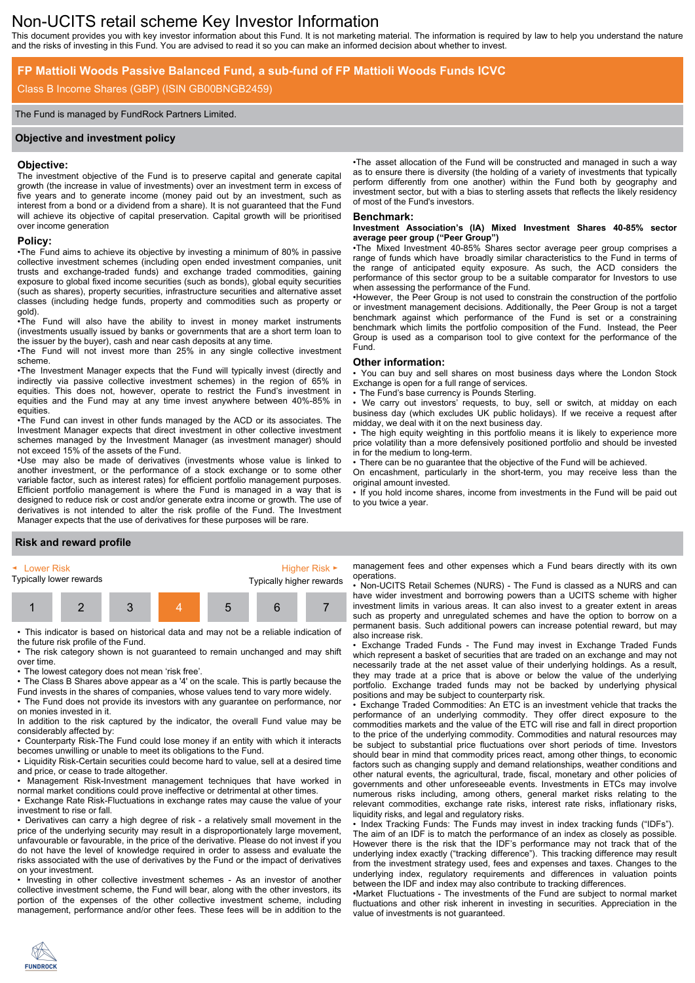# Non-UCITS retail scheme Key Investor Information

This document provides you with key investor information about this Fund. It is not marketing material. The information is required by law to help you understand the nature and the risks of investing in this Fund. You are advised to read it so you can make an informed decision about whether to invest.

# **FP Mattioli Woods Passive Balanced Fund, a sub-fund of FP Mattioli Woods Funds ICVC**

# Class B Income Shares (GBP) (ISIN GB00BNGB2459)

### The Fund is managed by FundRock Partners Limited.

### **Objective and investment policy**

### **Objective:**

The investment objective of the Fund is to preserve capital and generate capital growth (the increase in value of investments) over an investment term in excess of five years and to generate income (money paid out by an investment, such as interest from a bond or a dividend from a share). It is not guaranteed that the Fund will achieve its objective of capital preservation. Capital growth will be prioritised over income generation

# **Policy:**

•The Fund aims to achieve its objective by investing a minimum of 80% in passive collective investment schemes (including open ended investment companies, unit trusts and exchange-traded funds) and exchange traded commodities, gaining exposure to global fixed income securities (such as bonds), global equity securities (such as shares), property securities, infrastructure securities and alternative asset classes (including hedge funds, property and commodities such as property or gold).

•The Fund will also have the ability to invest in money market instruments (investments usually issued by banks or governments that are a short term loan to the issuer by the buyer), cash and near cash deposits at any time.

•The Fund will not invest more than 25% in any single collective investment scheme.

•The Investment Manager expects that the Fund will typically invest (directly and indirectly via passive collective investment schemes) in the region of 65% in equities. This does not, however, operate to restrict the Fund's investment in equities and the Fund may at any time invest anywhere between 40%-85% in equities.

•The Fund can invest in other funds managed by the ACD or its associates. The Investment Manager expects that direct investment in other collective investment schemes managed by the Investment Manager (as investment manager) should not exceed 15% of the assets of the Fund.

•Use may also be made of derivatives (investments whose value is linked to another investment, or the performance of a stock exchange or to some other variable factor, such as interest rates) for efficient portfolio management purposes. Efficient portfolio management is where the Fund is managed in a way that is designed to reduce risk or cost and/or generate extra income or growth. The use of derivatives is not intended to alter the risk profile of the Fund. The Investment Manager expects that the use of derivatives for these purposes will be rare.

## **Risk and reward profile**

| ► Lower Risk            |  |  |  | Higher Risk $\blacktriangleright$ |   |  |
|-------------------------|--|--|--|-----------------------------------|---|--|
| Typically lower rewards |  |  |  | Typically higher rewards          |   |  |
|                         |  |  |  | b                                 | h |  |

• This indicator is based on historical data and may not be a reliable indication of the future risk profile of the Fund.

• The risk category shown is not guaranteed to remain unchanged and may shift over time.

• The lowest category does not mean 'risk free'.

• The Class B Shares above appear as a '4' on the scale. This is partly because the Fund invests in the shares of companies, whose values tend to vary more widely.

• The Fund does not provide its investors with any guarantee on performance, nor on monies invested in it.

In addition to the risk captured by the indicator, the overall Fund value may be considerably affected by:

• Counterparty Risk-The Fund could lose money if an entity with which it interacts becomes unwilling or unable to meet its obligations to the Fund.

• Liquidity Risk-Certain securities could become hard to value, sell at a desired time and price, or cease to trade altogether.

• Management Risk-Investment management techniques that have worked in normal market conditions could prove ineffective or detrimental at other times.

• Exchange Rate Risk-Fluctuations in exchange rates may cause the value of your investment to rise or fall.

• Derivatives can carry a high degree of risk - a relatively small movement in the price of the underlying security may result in a disproportionately large movement, unfavourable or favourable, in the price of the derivative. Please do not invest if you do not have the level of knowledge required in order to assess and evaluate the risks associated with the use of derivatives by the Fund or the impact of derivatives on your investment.

• Investing in other collective investment schemes - As an investor of another collective investment scheme, the Fund will bear, along with the other investors, its portion of the expenses of the other collective investment scheme, including management, performance and/or other fees. These fees will be in addition to the

•The asset allocation of the Fund will be constructed and managed in such a way as to ensure there is diversity (the holding of a variety of investments that typically perform differently from one another) within the Fund both by geography and investment sector, but with a bias to sterling assets that reflects the likely residency of most of the Fund's investors.

#### **Benchmark:**

#### **Investment Association's (IA) Mixed Investment Shares 40-85% sector average peer group ("Peer Group")**

•The Mixed Investment 40-85% Shares sector average peer group comprises a range of funds which have broadly similar characteristics to the Fund in terms of the range of anticipated equity exposure. As such, the ACD considers the performance of this sector group to be a suitable comparator for Investors to use when assessing the performance of the Fund.

•However, the Peer Group is not used to constrain the construction of the portfolio or investment management decisions. Additionally, the Peer Group is not a target benchmark against which performance of the Fund is set or a constraining benchmark which limits the portfolio composition of the Fund. Instead, the Peer Group is used as a comparison tool to give context for the performance of the Fund.

### **Other information:**

• You can buy and sell shares on most business days where the London Stock Exchange is open for a full range of services.

The Fund's base currency is Pounds Sterling.

We carry out investors' requests, to buy, sell or switch, at midday on each business day (which excludes UK public holidays). If we receive a request after midday, we deal with it on the next business day.

The high equity weighting in this portfolio means it is likely to experience more price volatility than a more defensively positioned portfolio and should be invested in for the medium to long-term.

• There can be no guarantee that the objective of the Fund will be achieved.

On encashment, particularly in the short-term, you may receive less than the original amount invested.

• If you hold income shares, income from investments in the Fund will be paid out to you twice a year.

management fees and other expenses which a Fund bears directly with its own operations.

• Non-UCITS Retail Schemes (NURS) - The Fund is classed as a NURS and can have wider investment and borrowing powers than a UCITS scheme with higher investment limits in various areas. It can also invest to a greater extent in areas such as property and unregulated schemes and have the option to borrow on a permanent basis. Such additional powers can increase potential reward, but may also increase risk.

• Exchange Traded Funds - The Fund may invest in Exchange Traded Funds which represent a basket of securities that are traded on an exchange and may not necessarily trade at the net asset value of their underlying holdings. As a result, they may trade at a price that is above or below the value of the underlying portfolio. Exchange traded funds may not be backed by underlying physical positions and may be subject to counterparty risk.

• Exchange Traded Commodities: An ETC is an investment vehicle that tracks the performance of an underlying commodity. They offer direct exposure to the commodities markets and the value of the ETC will rise and fall in direct proportion to the price of the underlying commodity. Commodities and natural resources may be subject to substantial price fluctuations over short periods of time. Investors should bear in mind that commodity prices react, among other things, to economic factors such as changing supply and demand relationships, weather conditions and other natural events, the agricultural, trade, fiscal, monetary and other policies of governments and other unforeseeable events. Investments in ETCs may involve numerous risks including, among others, general market risks relating to the relevant commodities, exchange rate risks, interest rate risks, inflationary risks, liquidity risks, and legal and regulatory risks.

• Index Tracking Funds: The Funds may invest in index tracking funds ("IDFs"). The aim of an IDF is to match the performance of an index as closely as possible. However there is the risk that the IDF's performance may not track that of the underlying index exactly ("tracking difference"). This tracking difference may result from the investment strategy used, fees and expenses and taxes. Changes to the underlying index, regulatory requirements and differences in valuation points between the IDF and index may also contribute to tracking differences.

•Market Fluctuations - The investments of the Fund are subject to normal market fluctuations and other risk inherent in investing in securities. Appreciation in the value of investments is not guaranteed.